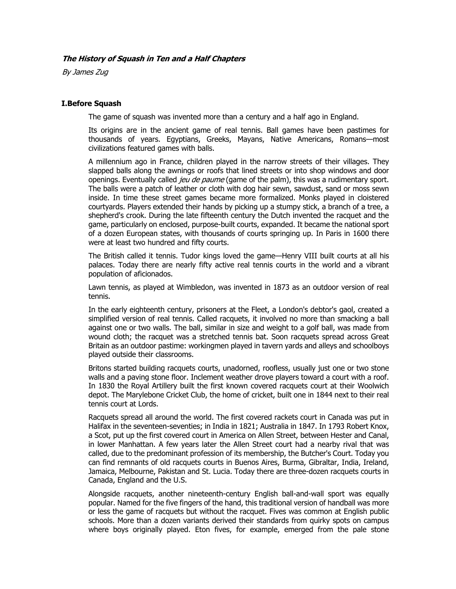# **The History of Squash in Ten and a Half Chapters**

By James Zug

# **I.Before Squash**

The game of squash was invented more than a century and a half ago in England.

Its origins are in the ancient game of real tennis. Ball games have been pastimes for thousands of years. Egyptians, Greeks, Mayans, Native Americans, Romans—most civilizations featured games with balls.

A millennium ago in France, children played in the narrow streets of their villages. They slapped balls along the awnings or roofs that lined streets or into shop windows and door openings. Eventually called *jeu de paume* (game of the palm), this was a rudimentary sport. The balls were a patch of leather or cloth with dog hair sewn, sawdust, sand or moss sewn inside. In time these street games became more formalized. Monks played in cloistered courtyards. Players extended their hands by picking up a stumpy stick, a branch of a tree, a shepherd's crook. During the late fifteenth century the Dutch invented the racquet and the game, particularly on enclosed, purpose-built courts, expanded. It became the national sport of a dozen European states, with thousands of courts springing up. In Paris in 1600 there were at least two hundred and fifty courts.

The British called it tennis. Tudor kings loved the game—Henry VIII built courts at all his palaces. Today there are nearly fifty active real tennis courts in the world and a vibrant population of aficionados.

Lawn tennis, as played at Wimbledon, was invented in 1873 as an outdoor version of real tennis.

In the early eighteenth century, prisoners at the Fleet, a London's debtor's gaol, created a simplified version of real tennis. Called racquets, it involved no more than smacking a ball against one or two walls. The ball, similar in size and weight to a golf ball, was made from wound cloth; the racquet was a stretched tennis bat. Soon racquets spread across Great Britain as an outdoor pastime: workingmen played in tavern yards and alleys and schoolboys played outside their classrooms.

Britons started building racquets courts, unadorned, roofless, usually just one or two stone walls and a paving stone floor. Inclement weather drove players toward a court with a roof. In 1830 the Royal Artillery built the first known covered racquets court at their Woolwich depot. The Marylebone Cricket Club, the home of cricket, built one in 1844 next to their real tennis court at Lords.

Racquets spread all around the world. The first covered rackets court in Canada was put in Halifax in the seventeen-seventies; in India in 1821; Australia in 1847. In 1793 Robert Knox, a Scot, put up the first covered court in America on Allen Street, between Hester and Canal, in lower Manhattan. A few years later the Allen Street court had a nearby rival that was called, due to the predominant profession of its membership, the Butcher's Court. Today you can find remnants of old racquets courts in Buenos Aires, Burma, Gibraltar, India, Ireland, Jamaica, Melbourne, Pakistan and St. Lucia. Today there are three-dozen racquets courts in Canada, England and the U.S.

Alongside racquets, another nineteenth-century English ball-and-wall sport was equally popular. Named for the five fingers of the hand, this traditional version of handball was more or less the game of racquets but without the racquet. Fives was common at English public schools. More than a dozen variants derived their standards from quirky spots on campus where boys originally played. Eton fives, for example, emerged from the pale stone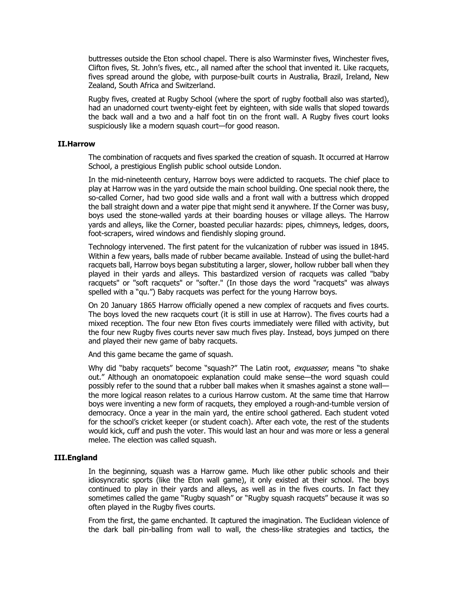buttresses outside the Eton school chapel. There is also Warminster fives, Winchester fives, Clifton fives, St. John's fives, etc., all named after the school that invented it. Like racquets, fives spread around the globe, with purpose-built courts in Australia, Brazil, Ireland, New Zealand, South Africa and Switzerland.

Rugby fives, created at Rugby School (where the sport of rugby football also was started), had an unadorned court twenty-eight feet by eighteen, with side walls that sloped towards the back wall and a two and a half foot tin on the front wall. A Rugby fives court looks suspiciously like a modern squash court—for good reason.

#### **II.Harrow**

The combination of racquets and fives sparked the creation of squash. It occurred at Harrow School, a prestigious English public school outside London.

In the mid-nineteenth century, Harrow boys were addicted to racquets. The chief place to play at Harrow was in the yard outside the main school building. One special nook there, the so-called Corner, had two good side walls and a front wall with a buttress which dropped the ball straight down and a water pipe that might send it anywhere. If the Corner was busy, boys used the stone-walled yards at their boarding houses or village alleys. The Harrow yards and alleys, like the Corner, boasted peculiar hazards: pipes, chimneys, ledges, doors, foot-scrapers, wired windows and fiendishly sloping ground.

Technology intervened. The first patent for the vulcanization of rubber was issued in 1845. Within a few years, balls made of rubber became available. Instead of using the bullet-hard racquets ball, Harrow boys began substituting a larger, slower, hollow rubber ball when they played in their yards and alleys. This bastardized version of racquets was called "baby racquets" or "soft racquets" or "softer." (In those days the word "racquets" was always spelled with a "qu.") Baby racquets was perfect for the young Harrow boys.

On 20 January 1865 Harrow officially opened a new complex of racquets and fives courts. The boys loved the new racquets court (it is still in use at Harrow). The fives courts had a mixed reception. The four new Eton fives courts immediately were filled with activity, but the four new Rugby fives courts never saw much fives play. Instead, boys jumped on there and played their new game of baby racquets.

And this game became the game of squash.

Why did "baby racquets" become "squash?" The Latin root, exquasser, means "to shake out." Although an onomatopoeic explanation could make sense—the word squash could possibly refer to the sound that a rubber ball makes when it smashes against a stone wall the more logical reason relates to a curious Harrow custom. At the same time that Harrow boys were inventing a new form of racquets, they employed a rough-and-tumble version of democracy. Once a year in the main yard, the entire school gathered. Each student voted for the school's cricket keeper (or student coach). After each vote, the rest of the students would kick, cuff and push the voter. This would last an hour and was more or less a general melee. The election was called squash.

## **III.England**

In the beginning, squash was a Harrow game. Much like other public schools and their idiosyncratic sports (like the Eton wall game), it only existed at their school. The boys continued to play in their yards and alleys, as well as in the fives courts. In fact they sometimes called the game "Rugby squash" or "Rugby squash racquets" because it was so often played in the Rugby fives courts.

From the first, the game enchanted. It captured the imagination. The Euclidean violence of the dark ball pin-balling from wall to wall, the chess-like strategies and tactics, the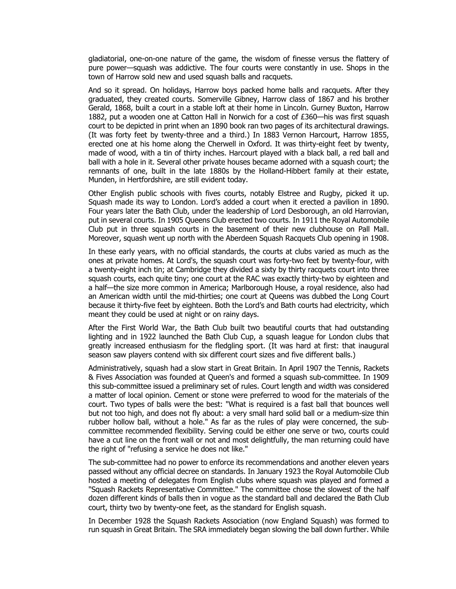gladiatorial, one-on-one nature of the game, the wisdom of finesse versus the flattery of pure power—squash was addictive. The four courts were constantly in use. Shops in the town of Harrow sold new and used squash balls and racquets.

And so it spread. On holidays, Harrow boys packed home balls and racquets. After they graduated, they created courts. Somerville Gibney, Harrow class of 1867 and his brother Gerald, 1868, built a court in a stable loft at their home in Lincoln. Gurney Buxton, Harrow 1882, put a wooden one at Catton Hall in Norwich for a cost of £360—his was first squash court to be depicted in print when an 1890 book ran two pages of its architectural drawings. (It was forty feet by twenty-three and a third.) In 1883 Vernon Harcourt, Harrow 1855, erected one at his home along the Cherwell in Oxford. It was thirty-eight feet by twenty, made of wood, with a tin of thirty inches. Harcourt played with a black ball, a red ball and ball with a hole in it. Several other private houses became adorned with a squash court; the remnants of one, built in the late 1880s by the Holland-Hibbert family at their estate, Munden, in Hertfordshire, are still evident today.

Other English public schools with fives courts, notably Elstree and Rugby, picked it up. Squash made its way to London. Lord's added a court when it erected a pavilion in 1890. Four years later the Bath Club, under the leadership of Lord Desborough, an old Harrovian, put in several courts. In 1905 Queens Club erected two courts. In 1911 the Royal Automobile Club put in three squash courts in the basement of their new clubhouse on Pall Mall. Moreover, squash went up north with the Aberdeen Squash Racquets Club opening in 1908.

In these early years, with no official standards, the courts at clubs varied as much as the ones at private homes. At Lord's, the squash court was forty-two feet by twenty-four, with a twenty-eight inch tin; at Cambridge they divided a sixty by thirty racquets court into three squash courts, each quite tiny; one court at the RAC was exactly thirty-two by eighteen and a half—the size more common in America; Marlborough House, a royal residence, also had an American width until the mid-thirties; one court at Queens was dubbed the Long Court because it thirty-five feet by eighteen. Both the Lord's and Bath courts had electricity, which meant they could be used at night or on rainy days.

After the First World War, the Bath Club built two beautiful courts that had outstanding lighting and in 1922 launched the Bath Club Cup, a squash league for London clubs that greatly increased enthusiasm for the fledgling sport. (It was hard at first: that inaugural season saw players contend with six different court sizes and five different balls.)

Administratively, squash had a slow start in Great Britain. In April 1907 the Tennis, Rackets & Fives Association was founded at Queen's and formed a squash sub-committee. In 1909 this sub-committee issued a preliminary set of rules. Court length and width was considered a matter of local opinion. Cement or stone were preferred to wood for the materials of the court. Two types of balls were the best: "What is required is a fast ball that bounces well but not too high, and does not fly about: a very small hard solid ball or a medium-size thin rubber hollow ball, without a hole." As far as the rules of play were concerned, the subcommittee recommended flexibility. Serving could be either one serve or two, courts could have a cut line on the front wall or not and most delightfully, the man returning could have the right of "refusing a service he does not like."

The sub-committee had no power to enforce its recommendations and another eleven years passed without any official decree on standards. In January 1923 the Royal Automobile Club hosted a meeting of delegates from English clubs where squash was played and formed a "Squash Rackets Representative Committee." The committee chose the slowest of the half dozen different kinds of balls then in vogue as the standard ball and declared the Bath Club court, thirty two by twenty-one feet, as the standard for English squash.

In December 1928 the Squash Rackets Association (now England Squash) was formed to run squash in Great Britain. The SRA immediately began slowing the ball down further. While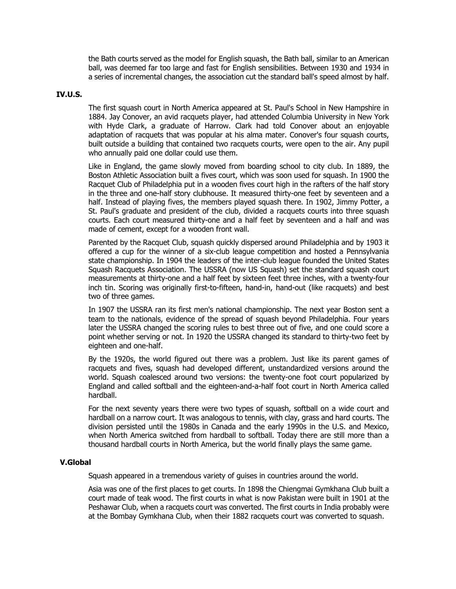the Bath courts served as the model for English squash, the Bath ball, similar to an American ball, was deemed far too large and fast for English sensibilities. Between 1930 and 1934 in a series of incremental changes, the association cut the standard ball's speed almost by half.

#### **IV.U.S.**

The first squash court in North America appeared at St. Paul's School in New Hampshire in 1884. Jay Conover, an avid racquets player, had attended Columbia University in New York with Hyde Clark, a graduate of Harrow. Clark had told Conover about an enjoyable adaptation of racquets that was popular at his alma mater. Conover's four squash courts, built outside a building that contained two racquets courts, were open to the air. Any pupil who annually paid one dollar could use them.

Like in England, the game slowly moved from boarding school to city club. In 1889, the Boston Athletic Association built a fives court, which was soon used for squash. In 1900 the Racquet Club of Philadelphia put in a wooden fives court high in the rafters of the half story in the three and one-half story clubhouse. It measured thirty-one feet by seventeen and a half. Instead of playing fives, the members played squash there. In 1902, Jimmy Potter, a St. Paul's graduate and president of the club, divided a racquets courts into three squash courts. Each court measured thirty-one and a half feet by seventeen and a half and was made of cement, except for a wooden front wall.

Parented by the Racquet Club, squash quickly dispersed around Philadelphia and by 1903 it offered a cup for the winner of a six-club league competition and hosted a Pennsylvania state championship. In 1904 the leaders of the inter-club league founded the United States Squash Racquets Association. The USSRA (now US Squash) set the standard squash court measurements at thirty-one and a half feet by sixteen feet three inches, with a twenty-four inch tin. Scoring was originally first-to-fifteen, hand-in, hand-out (like racquets) and best two of three games.

In 1907 the USSRA ran its first men's national championship. The next year Boston sent a team to the nationals, evidence of the spread of squash beyond Philadelphia. Four years later the USSRA changed the scoring rules to best three out of five, and one could score a point whether serving or not. In 1920 the USSRA changed its standard to thirty-two feet by eighteen and one-half.

By the 1920s, the world figured out there was a problem. Just like its parent games of racquets and fives, squash had developed different, unstandardized versions around the world. Squash coalesced around two versions: the twenty-one foot court popularized by England and called softball and the eighteen-and-a-half foot court in North America called hardball.

For the next seventy years there were two types of squash, softball on a wide court and hardball on a narrow court. It was analogous to tennis, with clay, grass and hard courts. The division persisted until the 1980s in Canada and the early 1990s in the U.S. and Mexico, when North America switched from hardball to softball. Today there are still more than a thousand hardball courts in North America, but the world finally plays the same game.

### **V.Global**

Squash appeared in a tremendous variety of guises in countries around the world.

Asia was one of the first places to get courts. In 1898 the Chiengmai Gymkhana Club built a court made of teak wood. The first courts in what is now Pakistan were built in 1901 at the Peshawar Club, when a racquets court was converted. The first courts in India probably were at the Bombay Gymkhana Club, when their 1882 racquets court was converted to squash.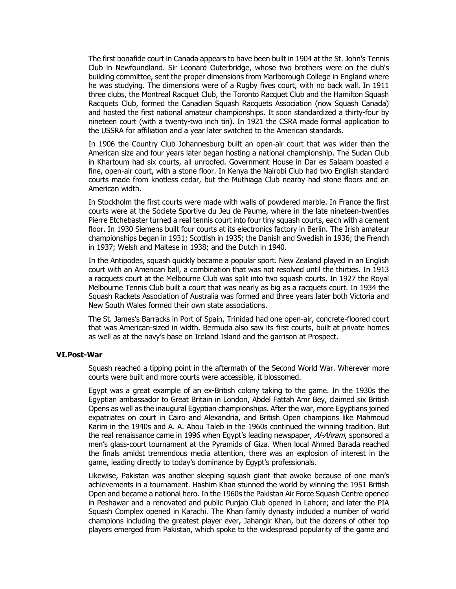The first bonafide court in Canada appears to have been built in 1904 at the St. John's Tennis Club in Newfoundland. Sir Leonard Outerbridge, whose two brothers were on the club's building committee, sent the proper dimensions from Marlborough College in England where he was studying. The dimensions were of a Rugby fives court, with no back wall. In 1911 three clubs, the Montreal Racquet Club, the Toronto Racquet Club and the Hamilton Squash Racquets Club, formed the Canadian Squash Racquets Association (now Squash Canada) and hosted the first national amateur championships. It soon standardized a thirty-four by nineteen court (with a twenty-two inch tin). In 1921 the CSRA made formal application to the USSRA for affiliation and a year later switched to the American standards.

In 1906 the Country Club Johannesburg built an open-air court that was wider than the American size and four years later began hosting a national championship. The Sudan Club in Khartoum had six courts, all unroofed. Government House in Dar es Salaam boasted a fine, open-air court, with a stone floor. In Kenya the Nairobi Club had two English standard courts made from knotless cedar, but the Muthiaga Club nearby had stone floors and an American width.

In Stockholm the first courts were made with walls of powdered marble. In France the first courts were at the Societe Sportive du Jeu de Paume, where in the late nineteen-twenties Pierre Etchebaster turned a real tennis court into four tiny squash courts, each with a cement floor. In 1930 Siemens built four courts at its electronics factory in Berlin. The Irish amateur championships began in 1931; Scottish in 1935; the Danish and Swedish in 1936; the French in 1937; Welsh and Maltese in 1938; and the Dutch in 1940.

In the Antipodes, squash quickly became a popular sport. New Zealand played in an English court with an American ball, a combination that was not resolved until the thirties. In 1913 a racquets court at the Melbourne Club was split into two squash courts. In 1927 the Royal Melbourne Tennis Club built a court that was nearly as big as a racquets court. In 1934 the Squash Rackets Association of Australia was formed and three years later both Victoria and New South Wales formed their own state associations.

The St. James's Barracks in Port of Spain, Trinidad had one open-air, concrete-floored court that was American-sized in width. Bermuda also saw its first courts, built at private homes as well as at the navy's base on Ireland Island and the garrison at Prospect.

## **VI.Post-War**

Squash reached a tipping point in the aftermath of the Second World War. Wherever more courts were built and more courts were accessible, it blossomed.

Egypt was a great example of an ex-British colony taking to the game. In the 1930s the Egyptian ambassador to Great Britain in London, Abdel Fattah Amr Bey, claimed six British Opens as well as the inaugural Egyptian championships. After the war, more Egyptians joined expatriates on court in Cairo and Alexandria, and British Open champions like Mahmoud Karim in the 1940s and A. A. Abou Taleb in the 1960s continued the winning tradition. But the real renaissance came in 1996 when Egypt's leading newspaper, Al-Ahram, sponsored a men's glass-court tournament at the Pyramids of Giza. When local Ahmed Barada reached the finals amidst tremendous media attention, there was an explosion of interest in the game, leading directly to today's dominance by Egypt's professionals.

Likewise, Pakistan was another sleeping squash giant that awoke because of one man's achievements in a tournament. Hashim Khan stunned the world by winning the 1951 British Open and became a national hero. In the 1960s the Pakistan Air Force Squash Centre opened in Peshawar and a renovated and public Punjab Club opened in Lahore; and later the PIA Squash Complex opened in Karachi. The Khan family dynasty included a number of world champions including the greatest player ever, Jahangir Khan, but the dozens of other top players emerged from Pakistan, which spoke to the widespread popularity of the game and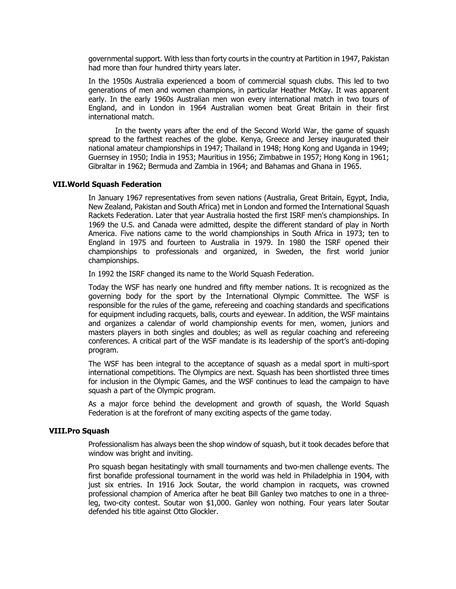governmental support. With less than forty courts in the country at Partition in 1947, Pakistan had more than four hundred thirty years later.

In the 1950s Australia experienced a boom of commercial squash clubs. This led to two generations of men and women champions, in particular Heather McKay. It was apparent early. In the early 1960s Australian men won every international match in two tours of England, and in London in 1964 Australian women beat Great Britain in their first international match.

In the twenty years after the end of the Second World War, the game of squash spread to the farthest reaches of the globe. Kenya, Greece and Jersey inaugurated their national amateur championships in 1947; Thailand in 1948; Hong Kong and Uganda in 1949; Guernsey in 1950; India in 1953; Mauritius in 1956; Zimbabwe in 1957; Hong Kong in 1961; Gibraltar in 1962; Bermuda and Zambia in 1964; and Bahamas and Ghana in 1965.

## **VII.World Squash Federation**

In January 1967 representatives from seven nations (Australia, Great Britain, Egypt, India, New Zealand, Pakistan and South Africa) met in London and formed the International Squash Rackets Federation. Later that year Australia hosted the first ISRF men's championships. In 1969 the U.S. and Canada were admitted, despite the different standard of play in North America. Five nations came to the world championships in South Africa in 1973; ten to England in 1975 and fourteen to Australia in 1979. In 1980 the ISRF opened their championships to professionals and organized, in Sweden, the first world junior championships.

In 1992 the ISRF changed its name to the World Squash Federation.

Today the WSF has nearly one hundred and fifty member nations. It is recognized as the governing body for the sport by the International Olympic Committee. The WSF is responsible for the rules of the game, refereeing and coaching standards and specifications for equipment including racquets, balls, courts and eyewear. In addition, the WSF maintains and organizes a calendar of world championship events for men, women, juniors and masters players in both singles and doubles; as well as regular coaching and refereeing conferences. A critical part of the WSF mandate is its leadership of the sport's anti-doping program.

The WSF has been integral to the acceptance of squash as a medal sport in multi-sport international competitions. The Olympics are next. Squash has been shortlisted three times for inclusion in the Olympic Games, and the WSF continues to lead the campaign to have squash a part of the Olympic program.

As a major force behind the development and growth of squash, the World Squash Federation is at the forefront of many exciting aspects of the game today.

#### **VIII.Pro Squash**

Professionalism has always been the shop window of squash, but it took decades before that window was bright and inviting.

Pro squash began hesitatingly with small tournaments and two-men challenge events. The first bonafide professional tournament in the world was held in Philadelphia in 1904, with just six entries. In 1916 Jock Soutar, the world champion in racquets, was crowned professional champion of America after he beat Bill Ganley two matches to one in a threeleg, two-city contest. Soutar won \$1,000. Ganley won nothing. Four years later Soutar defended his title against Otto Glockler.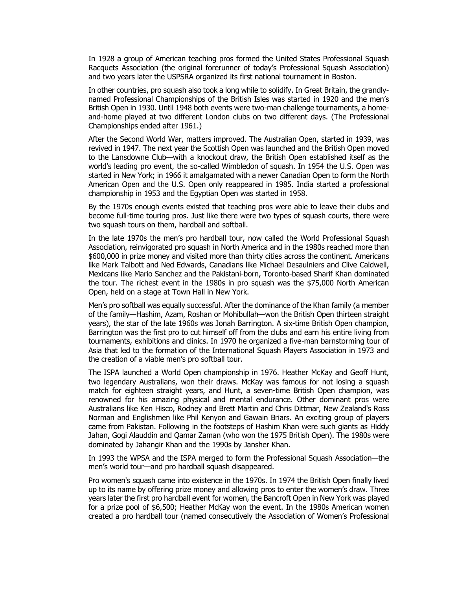In 1928 a group of American teaching pros formed the United States Professional Squash Racquets Association (the original forerunner of today's Professional Squash Association) and two years later the USPSRA organized its first national tournament in Boston.

In other countries, pro squash also took a long while to solidify. In Great Britain, the grandlynamed Professional Championships of the British Isles was started in 1920 and the men's British Open in 1930. Until 1948 both events were two-man challenge tournaments, a homeand-home played at two different London clubs on two different days. (The Professional Championships ended after 1961.)

After the Second World War, matters improved. The Australian Open, started in 1939, was revived in 1947. The next year the Scottish Open was launched and the British Open moved to the Lansdowne Club—with a knockout draw, the British Open established itself as the world's leading pro event, the so-called Wimbledon of squash. In 1954 the U.S. Open was started in New York; in 1966 it amalgamated with a newer Canadian Open to form the North American Open and the U.S. Open only reappeared in 1985. India started a professional championship in 1953 and the Egyptian Open was started in 1958.

By the 1970s enough events existed that teaching pros were able to leave their clubs and become full-time touring pros. Just like there were two types of squash courts, there were two squash tours on them, hardball and softball.

In the late 1970s the men's pro hardball tour, now called the World Professional Squash Association, reinvigorated pro squash in North America and in the 1980s reached more than \$600,000 in prize money and visited more than thirty cities across the continent. Americans like Mark Talbott and Ned Edwards, Canadians like Michael Desaulniers and Clive Caldwell, Mexicans like Mario Sanchez and the Pakistani-born, Toronto-based Sharif Khan dominated the tour. The richest event in the 1980s in pro squash was the \$75,000 North American Open, held on a stage at Town Hall in New York.

Men's pro softball was equally successful. After the dominance of the Khan family (a member of the family—Hashim, Azam, Roshan or Mohibullah—won the British Open thirteen straight years), the star of the late 1960s was Jonah Barrington. A six-time British Open champion, Barrington was the first pro to cut himself off from the clubs and earn his entire living from tournaments, exhibitions and clinics. In 1970 he organized a five-man barnstorming tour of Asia that led to the formation of the International Squash Players Association in 1973 and the creation of a viable men's pro softball tour.

The ISPA launched a World Open championship in 1976. Heather McKay and Geoff Hunt, two legendary Australians, won their draws. McKay was famous for not losing a squash match for eighteen straight years, and Hunt, a seven-time British Open champion, was renowned for his amazing physical and mental endurance. Other dominant pros were Australians like Ken Hisco, Rodney and Brett Martin and Chris Dittmar, New Zealand's Ross Norman and Englishmen like Phil Kenyon and Gawain Briars. An exciting group of players came from Pakistan. Following in the footsteps of Hashim Khan were such giants as Hiddy Jahan, Gogi Alauddin and Qamar Zaman (who won the 1975 British Open). The 1980s were dominated by Jahangir Khan and the 1990s by Jansher Khan.

In 1993 the WPSA and the ISPA merged to form the Professional Squash Association—the men's world tour—and pro hardball squash disappeared.

Pro women's squash came into existence in the 1970s. In 1974 the British Open finally lived up to its name by offering prize money and allowing pros to enter the women's draw. Three years later the first pro hardball event for women, the Bancroft Open in New York was played for a prize pool of \$6,500; Heather McKay won the event. In the 1980s American women created a pro hardball tour (named consecutively the Association of Women's Professional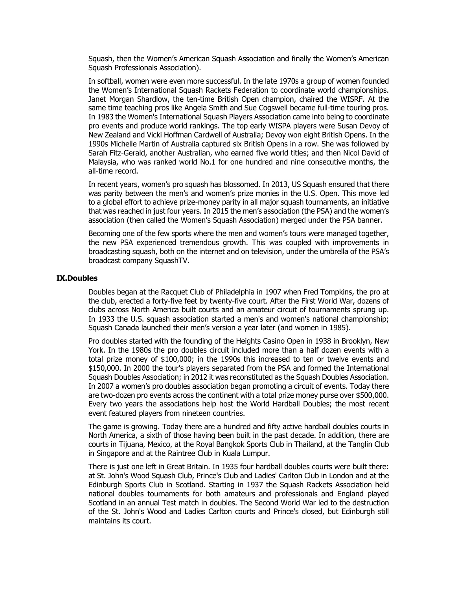Squash, then the Women's American Squash Association and finally the Women's American Squash Professionals Association).

In softball, women were even more successful. In the late 1970s a group of women founded the Women's International Squash Rackets Federation to coordinate world championships. Janet Morgan Shardlow, the ten-time British Open champion, chaired the WISRF. At the same time teaching pros like Angela Smith and Sue Cogswell became full-time touring pros. In 1983 the Women's International Squash Players Association came into being to coordinate pro events and produce world rankings. The top early WISPA players were Susan Devoy of New Zealand and Vicki Hoffman Cardwell of Australia; Devoy won eight British Opens. In the 1990s Michelle Martin of Australia captured six British Opens in a row. She was followed by Sarah Fitz-Gerald, another Australian, who earned five world titles; and then Nicol David of Malaysia, who was ranked world No.1 for one hundred and nine consecutive months, the all-time record.

In recent years, women's pro squash has blossomed. In 2013, US Squash ensured that there was parity between the men's and women's prize monies in the U.S. Open. This move led to a global effort to achieve prize-money parity in all major squash tournaments, an initiative that was reached in just four years. In 2015 the men's association (the PSA) and the women's association (then called the Women's Squash Association) merged under the PSA banner.

Becoming one of the few sports where the men and women's tours were managed together, the new PSA experienced tremendous growth. This was coupled with improvements in broadcasting squash, both on the internet and on television, under the umbrella of the PSA's broadcast company SquashTV.

#### **IX.Doubles**

Doubles began at the Racquet Club of Philadelphia in 1907 when Fred Tompkins, the pro at the club, erected a forty-five feet by twenty-five court. After the First World War, dozens of clubs across North America built courts and an amateur circuit of tournaments sprung up. In 1933 the U.S. squash association started a men's and women's national championship; Squash Canada launched their men's version a year later (and women in 1985).

Pro doubles started with the founding of the Heights Casino Open in 1938 in Brooklyn, New York. In the 1980s the pro doubles circuit included more than a half dozen events with a total prize money of \$100,000; in the 1990s this increased to ten or twelve events and \$150,000. In 2000 the tour's players separated from the PSA and formed the International Squash Doubles Association; in 2012 it was reconstituted as the Squash Doubles Association. In 2007 a women's pro doubles association began promoting a circuit of events. Today there are two-dozen pro events across the continent with a total prize money purse over \$500,000. Every two years the associations help host the World Hardball Doubles; the most recent event featured players from nineteen countries.

The game is growing. Today there are a hundred and fifty active hardball doubles courts in North America, a sixth of those having been built in the past decade. In addition, there are courts in Tijuana, Mexico, at the Royal Bangkok Sports Club in Thailand, at the Tanglin Club in Singapore and at the Raintree Club in Kuala Lumpur.

There is just one left in Great Britain. In 1935 four hardball doubles courts were built there: at St. John's Wood Squash Club, Prince's Club and Ladies' Carlton Club in London and at the Edinburgh Sports Club in Scotland. Starting in 1937 the Squash Rackets Association held national doubles tournaments for both amateurs and professionals and England played Scotland in an annual Test match in doubles. The Second World War led to the destruction of the St. John's Wood and Ladies Carlton courts and Prince's closed, but Edinburgh still maintains its court.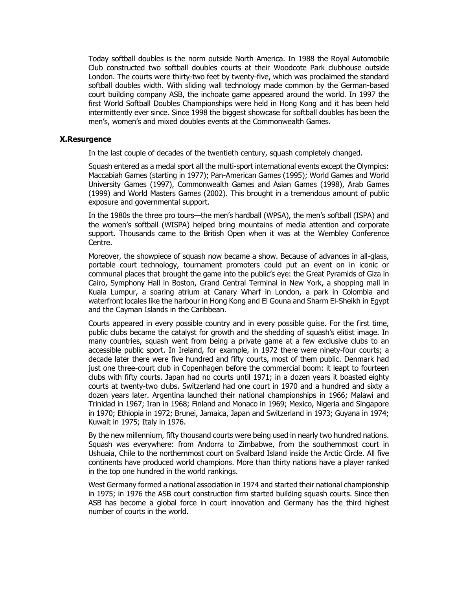Today softball doubles is the norm outside North America. In 1988 the Royal Automobile Club constructed two softball doubles courts at their Woodcote Park clubhouse outside London. The courts were thirty-two feet by twenty-five, which was proclaimed the standard softball doubles width. With sliding wall technology made common by the German-based court building company ASB, the inchoate game appeared around the world. In 1997 the first World Softball Doubles Championships were held in Hong Kong and it has been held intermittently ever since. Since 1998 the biggest showcase for softball doubles has been the men's, women's and mixed doubles events at the Commonwealth Games.

# **X.Resurgence**

In the last couple of decades of the twentieth century, squash completely changed.

Squash entered as a medal sport all the multi-sport international events except the Olympics: Maccabiah Games (starting in 1977); Pan-American Games (1995); World Games and World University Games (1997), Commonwealth Games and Asian Games (1998), Arab Games (1999) and World Masters Games (2002). This brought in a tremendous amount of public exposure and governmental support.

In the 1980s the three pro tours—the men's hardball (WPSA), the men's softball (ISPA) and the women's softball (WISPA) helped bring mountains of media attention and corporate support. Thousands came to the British Open when it was at the Wembley Conference Centre.

Moreover, the showpiece of squash now became a show. Because of advances in all-glass, portable court technology, tournament promoters could put an event on in iconic or communal places that brought the game into the public's eye: the Great Pyramids of Giza in Cairo, Symphony Hall in Boston, Grand Central Terminal in New York, a shopping mall in Kuala Lumpur, a soaring atrium at Canary Wharf in London, a park in Colombia and waterfront locales like the harbour in Hong Kong and El Gouna and Sharm El-Sheikh in Egypt and the Cayman Islands in the Caribbean.

Courts appeared in every possible country and in every possible guise. For the first time, public clubs became the catalyst for growth and the shedding of squash's elitist image. In many countries, squash went from being a private game at a few exclusive clubs to an accessible public sport. In Ireland, for example, in 1972 there were ninety-four courts; a decade later there were five hundred and fifty courts, most of them public. Denmark had just one three-court club in Copenhagen before the commercial boom: it leapt to fourteen clubs with fifty courts. Japan had no courts until 1971; in a dozen years it boasted eighty courts at twenty-two clubs. Switzerland had one court in 1970 and a hundred and sixty a dozen years later. Argentina launched their national championships in 1966; Malawi and Trinidad in 1967; Iran in 1968; Finland and Monaco in 1969; Mexico, Nigeria and Singapore in 1970; Ethiopia in 1972; Brunei, Jamaica, Japan and Switzerland in 1973; Guyana in 1974; Kuwait in 1975; Italy in 1976.

By the new millennium, fifty thousand courts were being used in nearly two hundred nations. Squash was everywhere: from Andorra to Zimbabwe, from the southernmost court in Ushuaia, Chile to the northernmost court on Svalbard Island inside the Arctic Circle. All five continents have produced world champions. More than thirty nations have a player ranked in the top one hundred in the world rankings.

West Germany formed a national association in 1974 and started their national championship in 1975; in 1976 the ASB court construction firm started building squash courts. Since then ASB has become a global force in court innovation and Germany has the third highest number of courts in the world.